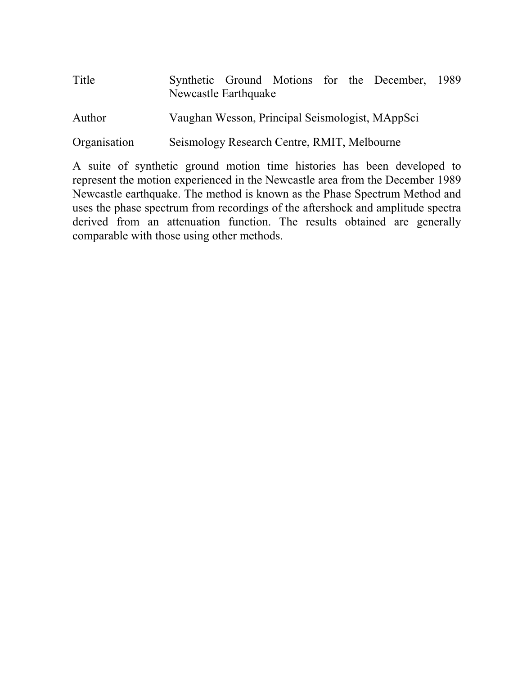| Title        | Synthetic Ground Motions for the December, 1989<br>Newcastle Earthquake |  |  |  |
|--------------|-------------------------------------------------------------------------|--|--|--|
| Author       | Vaughan Wesson, Principal Seismologist, MAppSci                         |  |  |  |
| Organisation | Seismology Research Centre, RMIT, Melbourne                             |  |  |  |

A suite of synthetic ground motion time histories has been developed to represent the motion experienced in the Newcastle area from the December 1989 Newcastle earthquake. The method is known as the Phase Spectrum Method and uses the phase spectrum from recordings of the aftershock and amplitude spectra derived from an attenuation function. The results obtained are generally comparable with those using other methods.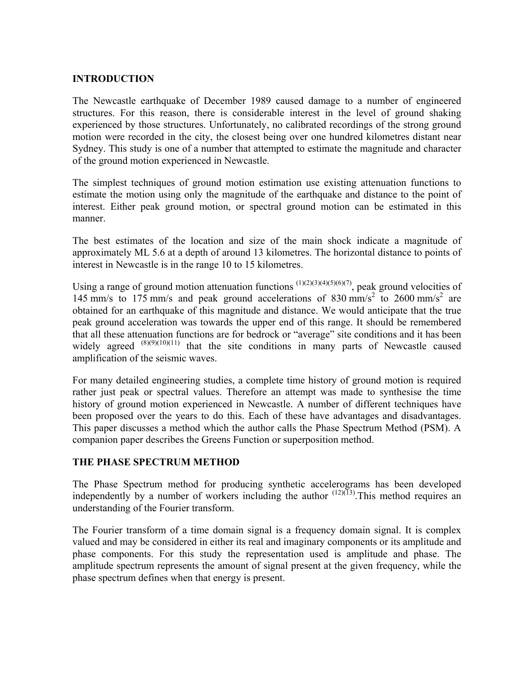# **INTRODUCTION**

The Newcastle earthquake of December 1989 caused damage to a number of engineered structures. For this reason, there is considerable interest in the level of ground shaking experienced by those structures. Unfortunately, no calibrated recordings of the strong ground motion were recorded in the city, the closest being over one hundred kilometres distant near Sydney. This study is one of a number that attempted to estimate the magnitude and character of the ground motion experienced in Newcastle.

The simplest techniques of ground motion estimation use existing attenuation functions to estimate the motion using only the magnitude of the earthquake and distance to the point of interest. Either peak ground motion, or spectral ground motion can be estimated in this manner.

The best estimates of the location and size of the main shock indicate a magnitude of approximately ML 5.6 at a depth of around 13 kilometres. The horizontal distance to points of interest in Newcastle is in the range 10 to 15 kilometres.

Using a range of ground motion attenuation functions  $(1)(2)(3)(4)(5)(6)(7)$ , peak ground velocities of 145 mm/s to 175 mm/s and peak ground accelerations of 830 mm/s<sup>2</sup> to 2600 mm/s<sup>2</sup> are obtained for an earthquake of this magnitude and distance. We would anticipate that the true peak ground acceleration was towards the upper end of this range. It should be remembered that all these attenuation functions are for bedrock or "average" site conditions and it has been widely agreed  $^{(8)(9)(10)(11)}$  that the site conditions in many parts of Newcastle caused amplification of the seismic waves.

For many detailed engineering studies, a complete time history of ground motion is required rather just peak or spectral values. Therefore an attempt was made to synthesise the time history of ground motion experienced in Newcastle. A number of different techniques have been proposed over the years to do this. Each of these have advantages and disadvantages. This paper discusses a method which the author calls the Phase Spectrum Method (PSM). A companion paper describes the Greens Function or superposition method.

### **THE PHASE SPECTRUM METHOD**

The Phase Spectrum method for producing synthetic accelerograms has been developed independently by a number of workers including the author  $(12)(13)$ . This method requires an understanding of the Fourier transform.

The Fourier transform of a time domain signal is a frequency domain signal. It is complex valued and may be considered in either its real and imaginary components or its amplitude and phase components. For this study the representation used is amplitude and phase. The amplitude spectrum represents the amount of signal present at the given frequency, while the phase spectrum defines when that energy is present.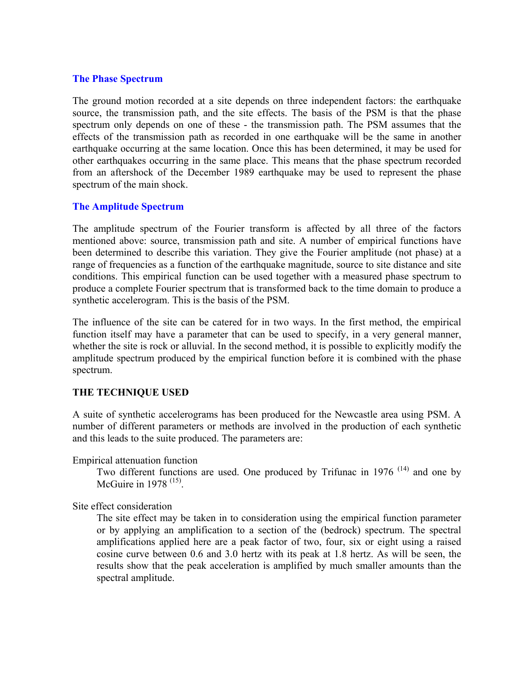## **The Phase Spectrum**

The ground motion recorded at a site depends on three independent factors: the earthquake source, the transmission path, and the site effects. The basis of the PSM is that the phase spectrum only depends on one of these - the transmission path. The PSM assumes that the effects of the transmission path as recorded in one earthquake will be the same in another earthquake occurring at the same location. Once this has been determined, it may be used for other earthquakes occurring in the same place. This means that the phase spectrum recorded from an aftershock of the December 1989 earthquake may be used to represent the phase spectrum of the main shock.

# **The Amplitude Spectrum**

The amplitude spectrum of the Fourier transform is affected by all three of the factors mentioned above: source, transmission path and site. A number of empirical functions have been determined to describe this variation. They give the Fourier amplitude (not phase) at a range of frequencies as a function of the earthquake magnitude, source to site distance and site conditions. This empirical function can be used together with a measured phase spectrum to produce a complete Fourier spectrum that is transformed back to the time domain to produce a synthetic accelerogram. This is the basis of the PSM.

The influence of the site can be catered for in two ways. In the first method, the empirical function itself may have a parameter that can be used to specify, in a very general manner, whether the site is rock or alluvial. In the second method, it is possible to explicitly modify the amplitude spectrum produced by the empirical function before it is combined with the phase spectrum.

# **THE TECHNIQUE USED**

A suite of synthetic accelerograms has been produced for the Newcastle area using PSM. A number of different parameters or methods are involved in the production of each synthetic and this leads to the suite produced. The parameters are:

Empirical attenuation function

Two different functions are used. One produced by Trifunac in  $1976$  <sup>(14)</sup> and one by McGuire in 1978<sup>(15)</sup>

Site effect consideration

The site effect may be taken in to consideration using the empirical function parameter or by applying an amplification to a section of the (bedrock) spectrum. The spectral amplifications applied here are a peak factor of two, four, six or eight using a raised cosine curve between 0.6 and 3.0 hertz with its peak at 1.8 hertz. As will be seen, the results show that the peak acceleration is amplified by much smaller amounts than the spectral amplitude.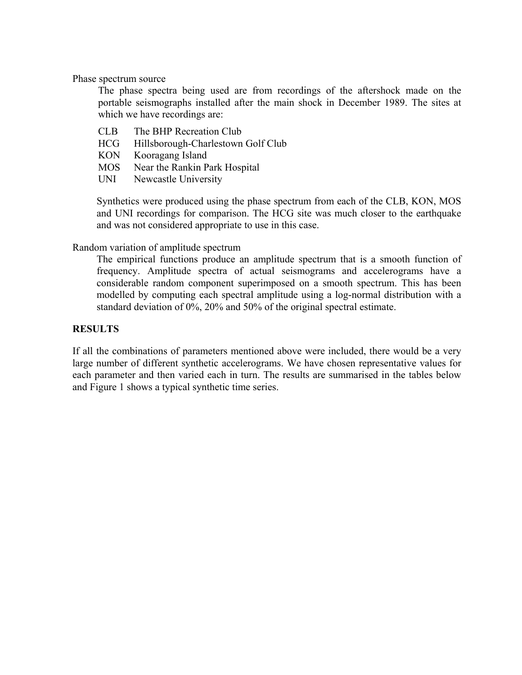Phase spectrum source

The phase spectra being used are from recordings of the aftershock made on the portable seismographs installed after the main shock in December 1989. The sites at which we have recordings are:

- CLB The BHP Recreation Club
- HCG Hillsborough-Charlestown Golf Club
- KON Kooragang Island
- MOS Near the Rankin Park Hospital
- UNI Newcastle University

Synthetics were produced using the phase spectrum from each of the CLB, KON, MOS and UNI recordings for comparison. The HCG site was much closer to the earthquake and was not considered appropriate to use in this case.

### Random variation of amplitude spectrum

The empirical functions produce an amplitude spectrum that is a smooth function of frequency. Amplitude spectra of actual seismograms and accelerograms have a considerable random component superimposed on a smooth spectrum. This has been modelled by computing each spectral amplitude using a log-normal distribution with a standard deviation of 0%, 20% and 50% of the original spectral estimate.

### **RESULTS**

If all the combinations of parameters mentioned above were included, there would be a very large number of different synthetic accelerograms. We have chosen representative values for each parameter and then varied each in turn. The results are summarised in the tables below and Figure 1 shows a typical synthetic time series.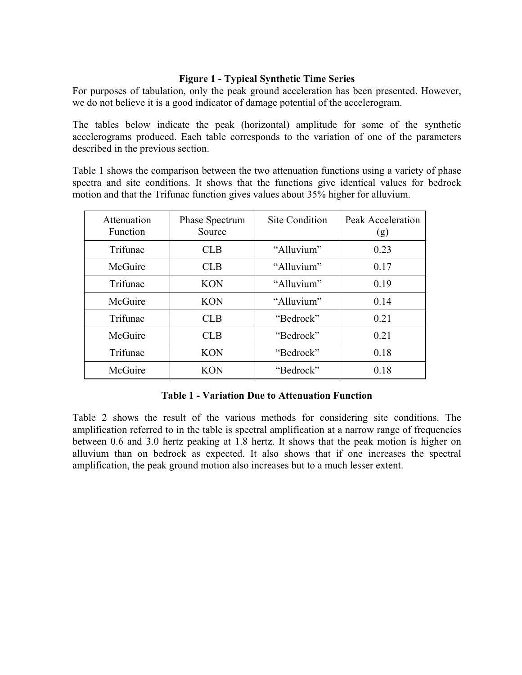# **Figure 1 - Typical Synthetic Time Series**

For purposes of tabulation, only the peak ground acceleration has been presented. However, we do not believe it is a good indicator of damage potential of the accelerogram.

The tables below indicate the peak (horizontal) amplitude for some of the synthetic accelerograms produced. Each table corresponds to the variation of one of the parameters described in the previous section.

Table 1 shows the comparison between the two attenuation functions using a variety of phase spectra and site conditions. It shows that the functions give identical values for bedrock motion and that the Trifunac function gives values about 35% higher for alluvium.

| Attenuation<br>Function | Phase Spectrum<br>Source | <b>Site Condition</b> | Peak Acceleration<br>(g) |
|-------------------------|--------------------------|-----------------------|--------------------------|
| Trifunac                | <b>CLB</b>               | "Alluvium"            | 0.23                     |
| McGuire                 | <b>CLB</b>               | "Alluvium"            | 0.17                     |
| Trifunac                | <b>KON</b>               | "Alluvium"            | 0.19                     |
| McGuire                 | <b>KON</b>               | "Alluvium"            | 0.14                     |
| Trifunac                | <b>CLB</b>               | "Bedrock"             | 0.21                     |
| McGuire                 | <b>CLB</b>               | "Bedrock"             | 0.21                     |
| Trifunac                | <b>KON</b>               | "Bedrock"             | 0.18                     |
| McGuire                 | <b>KON</b>               | "Bedrock"             | 0.18                     |

### **Table 1 - Variation Due to Attenuation Function**

Table 2 shows the result of the various methods for considering site conditions. The amplification referred to in the table is spectral amplification at a narrow range of frequencies between 0.6 and 3.0 hertz peaking at 1.8 hertz. It shows that the peak motion is higher on alluvium than on bedrock as expected. It also shows that if one increases the spectral amplification, the peak ground motion also increases but to a much lesser extent.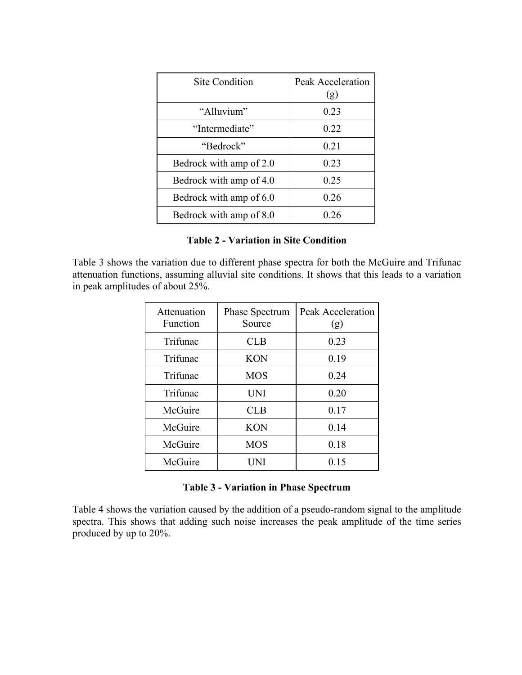| Site Condition          | Peak Acceleration<br>(g) |
|-------------------------|--------------------------|
| "Alluvium"              | 0.23                     |
| "Intermediate"          | 0.22                     |
| "Bedrock"               | 0.21                     |
| Bedrock with amp of 2.0 | 0.23                     |
| Bedrock with amp of 4.0 | 0.25                     |
| Bedrock with amp of 6.0 | 0.26                     |
| Bedrock with amp of 8.0 | 0 26                     |

### **Table 2 - Variation in Site Condition**

Table 3 shows the variation due to different phase spectra for both the McGuire and Trifunac attenuation functions, assuming alluvial site conditions. It shows that this leads to a variation in peak amplitudes of about 25%.

| Attenuation<br>Function | Phase Spectrum<br>Source | Peak Acceleration<br>(g) |
|-------------------------|--------------------------|--------------------------|
| Trifunac                | <b>CLB</b>               | 0.23                     |
| Trifunac                | <b>KON</b>               | 0.19                     |
| Trifunac                | <b>MOS</b>               | 0.24                     |
| Trifunac                | <b>UNI</b>               | 0.20                     |
| McGuire                 | <b>CLB</b>               | 0.17                     |
| McGuire                 | <b>KON</b>               | 0.14                     |
| McGuire                 | <b>MOS</b>               | 0.18                     |
| McGuire                 | I INI                    | 0.15                     |

## **Table 3 - Variation in Phase Spectrum**

Table 4 shows the variation caused by the addition of a pseudo-random signal to the amplitude spectra. This shows that adding such noise increases the peak amplitude of the time series produced by up to 20%.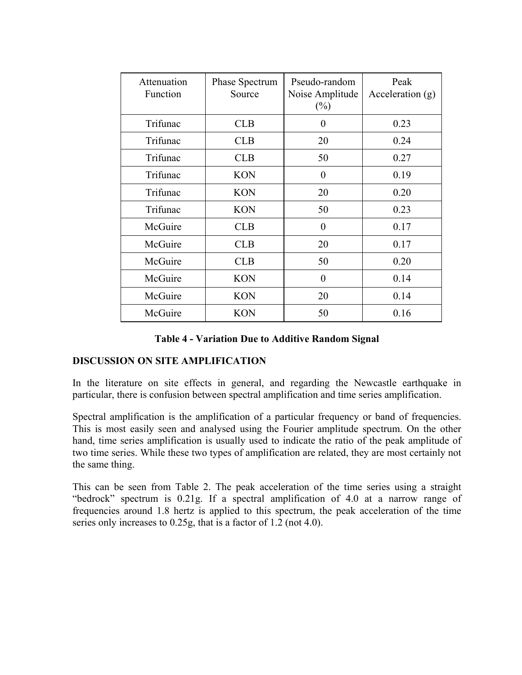| Attenuation<br>Function | Phase Spectrum<br>Source | Pseudo-random<br>Noise Amplitude<br>$(\%)$ | Peak<br>Acceleration (g) |
|-------------------------|--------------------------|--------------------------------------------|--------------------------|
| Trifunac                | <b>CLB</b>               | 0                                          | 0.23                     |
| Trifunac                | <b>CLB</b>               | 20                                         | 0.24                     |
| Trifunac                | <b>CLB</b>               | 50                                         | 0.27                     |
| Trifunac                | <b>KON</b>               | $\theta$                                   | 0.19                     |
| Trifunac                | <b>KON</b>               | 20                                         | 0.20                     |
| Trifunac                | <b>KON</b>               | 50                                         | 0.23                     |
| McGuire                 | <b>CLB</b>               | $\overline{0}$                             | 0.17                     |
| McGuire                 | <b>CLB</b>               | 20                                         | 0.17                     |
| McGuire                 | <b>CLB</b>               | 50                                         | 0.20                     |
| McGuire                 | <b>KON</b>               | 0                                          | 0.14                     |
| McGuire                 | <b>KON</b>               | 20                                         | 0.14                     |
| McGuire                 | <b>KON</b>               | 50                                         | 0.16                     |

**Table 4 - Variation Due to Additive Random Signal** 

# **DISCUSSION ON SITE AMPLIFICATION**

In the literature on site effects in general, and regarding the Newcastle earthquake in particular, there is confusion between spectral amplification and time series amplification.

Spectral amplification is the amplification of a particular frequency or band of frequencies. This is most easily seen and analysed using the Fourier amplitude spectrum. On the other hand, time series amplification is usually used to indicate the ratio of the peak amplitude of two time series. While these two types of amplification are related, they are most certainly not the same thing.

This can be seen from Table 2. The peak acceleration of the time series using a straight "bedrock" spectrum is 0.21g. If a spectral amplification of 4.0 at a narrow range of frequencies around 1.8 hertz is applied to this spectrum, the peak acceleration of the time series only increases to 0.25g, that is a factor of 1.2 (not 4.0).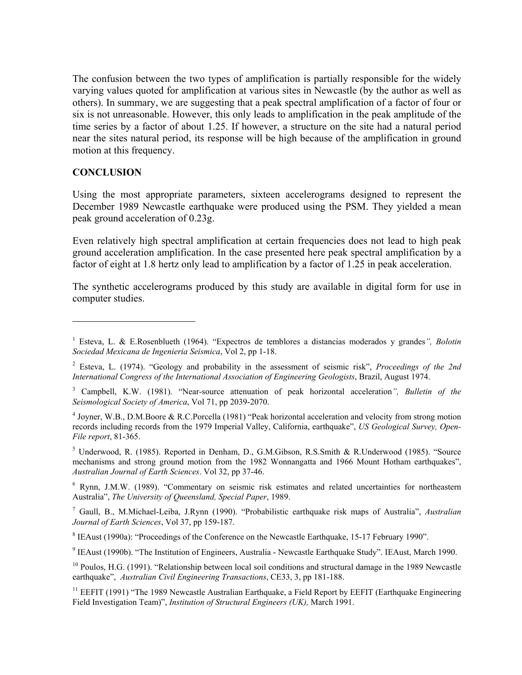The confusion between the two types of amplification is partially responsible for the widely varying values quoted for amplification at various sites in Newcastle (by the author as well as others). In summary, we are suggesting that a peak spectral amplification of a factor of four or six is not unreasonable. However, this only leads to amplification in the peak amplitude of the time series by a factor of about 1.25. If however, a structure on the site had a natural period near the sites natural period, its response will be high because of the amplification in ground motion at this frequency.

#### **CONCLUSION**

1

Using the most appropriate parameters, sixteen accelerograms designed to represent the December 1989 Newcastle earthquake were produced using the PSM. They yielded a mean peak ground acceleration of 0.23g.

Even relatively high spectral amplification at certain frequencies does not lead to high peak ground acceleration amplification. In the case presented here peak spectral amplification by a factor of eight at 1.8 hertz only lead to amplification by a factor of 1.25 in peak acceleration.

The synthetic accelerograms produced by this study are available in digital form for use in computer studies.

 $<sup>5</sup>$  Underwood, R. (1985). Reported in Denham, D., G.M.Gibson, R.S.Smith & R.Underwood (1985). "Source</sup> mechanisms and strong ground motion from the 1982 Wonnangatta and 1966 Mount Hotham earthquakes", *Australian Journal of Earth Sciences*. Vol 32, pp 37-46.

<sup>6</sup> Rynn, J.M.W. (1989). "Commentary on seismic risk estimates and related uncertainties for northeastern Australia", *The University of Queensland, Special Paper*, 1989.

7 Gaull, B., M.Michael-Leiba, J.Rynn (1990). "Probabilistic earthquake risk maps of Australia", *Australian Journal of Earth Sciences*, Vol 37, pp 159-187.

<sup>8</sup> IEAust (1990a): "Proceedings of the Conference on the Newcastle Earthquake, 15-17 February 1990".

<sup>9</sup> IEAust (1990b). "The Institution of Engineers, Australia - Newcastle Earthquake Study". IEAust, March 1990.

<sup>1</sup> Esteva, L. & E.Rosenblueth (1964). "Expectros de temblores a distancias moderados y grandes*", Bolotin Sociedad Mexicana de Ingenieria Seismica*, Vol 2, pp 1-18.

<sup>2</sup> Esteva, L. (1974). "Geology and probability in the assessment of seismic risk", *Proceedings of the 2nd International Congress of the International Association of Engineering Geologists*, Brazil, August 1974.

<sup>3</sup> Campbell, K.W. (1981). "Near-source attenuation of peak horizontal acceleration*", Bulletin of the Seismological Society of America*, Vol 71, pp 2039-2070.

<sup>&</sup>lt;sup>4</sup> Joyner, W.B., D.M.Boore & R.C.Porcella (1981) "Peak horizontal acceleration and velocity from strong motion records including records from the 1979 Imperial Valley, California, earthquake", *US Geological Survey, Open-File report*, 81-365.

<sup>&</sup>lt;sup>10</sup> Poulos, H.G. (1991). "Relationship between local soil conditions and structural damage in the 1989 Newcastle earthquake", *Australian Civil Engineering Transactions*, CE33, 3, pp 181-188.

 $11$  EEFIT (1991) "The 1989 Newcastle Australian Earthquake, a Field Report by EEFIT (Earthquake Engineering) Field Investigation Team)", *Institution of Structural Engineers (UK),* March 1991.